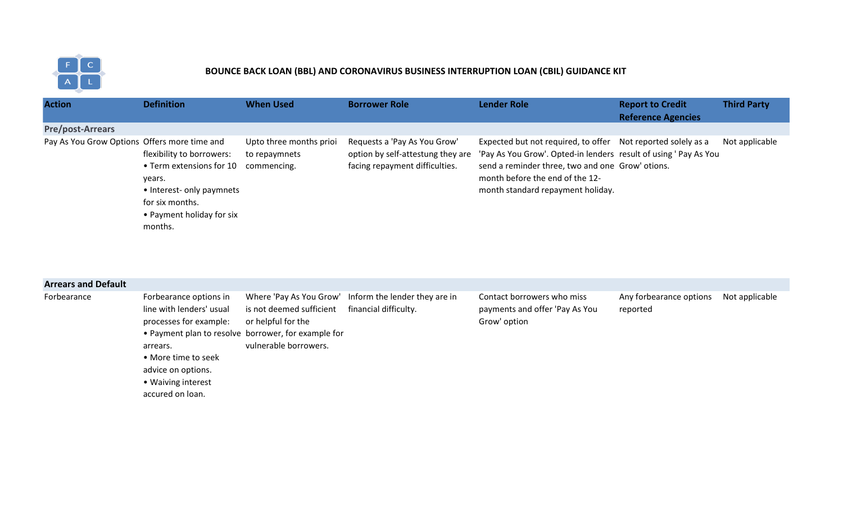

## **BOUNCE BACK LOAN (BBL) AND CORONAVIRUS BUSINESS INTERRUPTION LOAN (CBIL) GUIDANCE KIT**

| <b>Action</b>                                | <b>Definition</b>                                                                                                                                       | <b>When Used</b>                                        | <b>Borrower Role</b>                                                                                | <b>Lender Role</b>                                                                                                                                                                                                                                           | <b>Report to Credit</b>   | <b>Third Party</b> |
|----------------------------------------------|---------------------------------------------------------------------------------------------------------------------------------------------------------|---------------------------------------------------------|-----------------------------------------------------------------------------------------------------|--------------------------------------------------------------------------------------------------------------------------------------------------------------------------------------------------------------------------------------------------------------|---------------------------|--------------------|
|                                              |                                                                                                                                                         |                                                         |                                                                                                     |                                                                                                                                                                                                                                                              | <b>Reference Agencies</b> |                    |
| <b>Pre/post-Arrears</b>                      |                                                                                                                                                         |                                                         |                                                                                                     |                                                                                                                                                                                                                                                              |                           |                    |
| Pay As You Grow Options Offers more time and | flexibility to borrowers:<br>• Term extensions for 10<br>years.<br>• Interest- only paymnets<br>for six months.<br>• Payment holiday for six<br>months. | Upto three months prioi<br>to repaymnets<br>commencing. | Requests a 'Pay As You Grow'<br>option by self-attestung they are<br>facing repayment difficulties. | Expected but not required, to offer Not reported solely as a<br>'Pay As You Grow'. Opted-in lenders result of using ' Pay As You<br>send a reminder three, two and one Grow' otions.<br>month before the end of the 12-<br>month standard repayment holiday. |                           | Not applicable     |

| <b>Arrears and Default</b> |                                                                                                                                                                                 |                                                                                                                                                           |                                                        |                                                                              |                                     |                |
|----------------------------|---------------------------------------------------------------------------------------------------------------------------------------------------------------------------------|-----------------------------------------------------------------------------------------------------------------------------------------------------------|--------------------------------------------------------|------------------------------------------------------------------------------|-------------------------------------|----------------|
| Forbearance                | Forbearance options in<br>line with lenders' usual<br>processes for example:<br>arrears.<br>• More time to seek<br>advice on options.<br>• Waiving interest<br>accured on loan. | Where 'Pay As You Grow'<br>is not deemed sufficient<br>or helpful for the<br>• Payment plan to resolve borrower, for example for<br>vulnerable borrowers. | Inform the lender they are in<br>financial difficulty. | Contact borrowers who miss<br>payments and offer 'Pay As You<br>Grow' option | Any forbearance options<br>reported | Not applicable |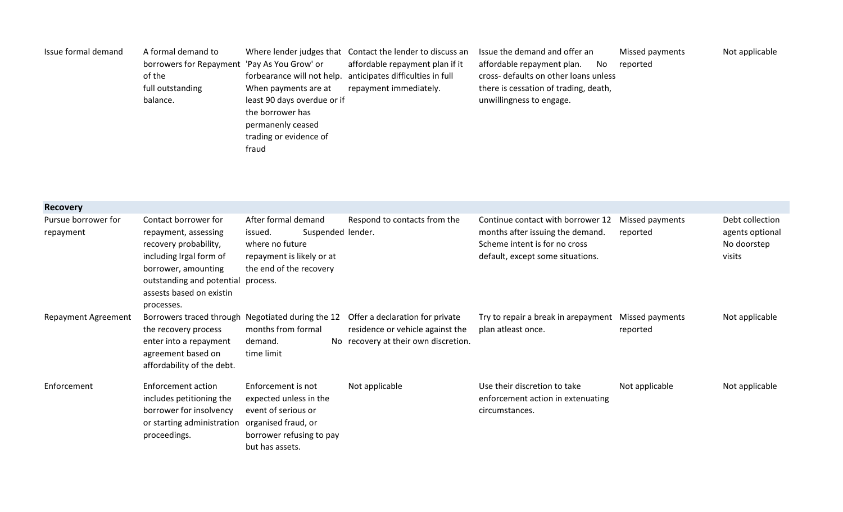| Issue formal demand | A formal demand to                           |                             | Where lender judges that Contact the lender to discuss an   | Issue the demand and offer an         | Missed payments | Not applicable |
|---------------------|----------------------------------------------|-----------------------------|-------------------------------------------------------------|---------------------------------------|-----------------|----------------|
|                     | borrowers for Repayment 'Pay As You Grow' or |                             | affordable repayment plan if it                             | affordable repayment plan.<br>No.     | reported        |                |
|                     | of the                                       |                             | forbearance will not help. anticipates difficulties in full | cross- defaults on other loans unless |                 |                |
|                     | full outstanding                             | When payments are at        | repayment immediately.                                      | there is cessation of trading, death, |                 |                |
|                     | balance.                                     | least 90 days overdue or if |                                                             | unwillingness to engage.              |                 |                |
|                     |                                              | the borrower has            |                                                             |                                       |                 |                |
|                     |                                              | permanenly ceased           |                                                             |                                       |                 |                |
|                     |                                              | trading or evidence of      |                                                             |                                       |                 |                |
|                     |                                              | fraud                       |                                                             |                                       |                 |                |

| <b>Recovery</b>                  |                                                                                                                                                                                                |                                                                                                                                            |                                                                                                             |                                                                                                                                            |                             |                                                             |
|----------------------------------|------------------------------------------------------------------------------------------------------------------------------------------------------------------------------------------------|--------------------------------------------------------------------------------------------------------------------------------------------|-------------------------------------------------------------------------------------------------------------|--------------------------------------------------------------------------------------------------------------------------------------------|-----------------------------|-------------------------------------------------------------|
| Pursue borrower for<br>repayment | Contact borrower for<br>repayment, assessing<br>recovery probability,<br>including Irgal form of<br>borrower, amounting<br>outstanding and potential<br>assests based on existin<br>processes. | After formal demand<br>Suspended lender.<br>issued.<br>where no future<br>repayment is likely or at<br>the end of the recovery<br>process. | Respond to contacts from the                                                                                | Continue contact with borrower 12<br>months after issuing the demand.<br>Scheme intent is for no cross<br>default, except some situations. | Missed payments<br>reported | Debt collection<br>agents optional<br>No doorstep<br>visits |
| <b>Repayment Agreement</b>       | Borrowers traced through Negotiated during the 12<br>the recovery process<br>enter into a repayment<br>agreement based on<br>affordability of the debt.                                        | months from formal<br>demand.<br>time limit                                                                                                | Offer a declaration for private<br>residence or vehicle against the<br>No recovery at their own discretion. | Try to repair a break in arepayment Missed payments<br>plan atleast once.                                                                  | reported                    | Not applicable                                              |
| Enforcement                      | Enforcement action<br>includes petitioning the<br>borrower for insolvency<br>or starting administration<br>proceedings.                                                                        | Enforcement is not<br>expected unless in the<br>event of serious or<br>organised fraud, or<br>borrower refusing to pay<br>but has assets.  | Not applicable                                                                                              | Use their discretion to take<br>enforcement action in extenuating<br>circumstances.                                                        | Not applicable              | Not applicable                                              |